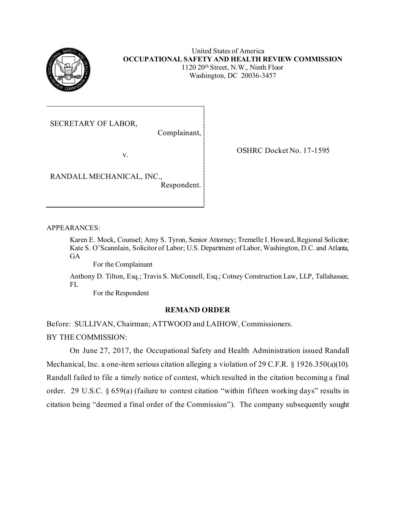

United States of America **OCCUPATIONAL SAFETY AND HEALTH REVIEW COMMISSION** 1120 20th Street, N.W., Ninth Floor Washington, DC 20036-3457

SECRETARY OF LABOR,

Complainant,

v.

OSHRC Docket No. 17-1595

RANDALL MECHANICAL, INC.,

Respondent.

APPEARANCES:

Karen E. Mock, Counsel; Amy S. Tyron, Senior Attorney; Tremelle I. Howard, Regional Solicitor; Kate S. O'Scannlain, Solicitor of Labor; U.S. Department of Labor, Washington, D.C. and Atlanta, **GA** 

For the Complainant

Anthony D. Tilton, Esq.; Travis S. McConnell, Esq.; Cotney Construction Law, LLP, Tallahassee, FL

For the Respondent

## **REMAND ORDER**

Before: SULLIVAN, Chairman; ATTWOOD and LAIHOW, Commissioners.

BY THE COMMISSION:

On June 27, 2017, the Occupational Safety and Health Administration issued Randall Mechanical, Inc. a one-item serious citation alleging a violation of 29 C.F.R. § 1926.350(a)(10). Randall failed to file a timely notice of contest, which resulted in the citation becoming a final order. 29 U.S.C. § 659(a) (failure to contest citation "within fifteen working days" results in citation being "deemed a final order of the Commission"). The company subsequently sought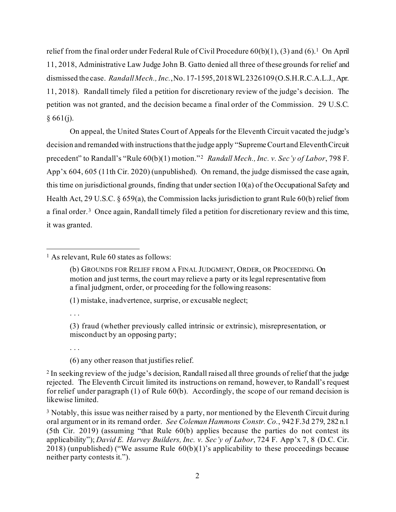relief from the final order under Federal Rule of Civil Procedure  $60(b)(1)$ , (3) and (6).<sup>1</sup> On April 11, 2018, Administrative Law Judge John B. Gatto denied all three of these grounds for relief and dismissed the case. *RandallMech., Inc.*, No. 17-1595, 2018 WL 2326109 (O.S.H.R.C.A.L.J., Apr. 11, 2018). Randall timely filed a petition for discretionary review of the judge's decision. The petition was not granted, and the decision became a final order of the Commission. 29 U.S.C.  $§ 661(i).$ 

On appeal, the United States Court of Appeals for the Eleventh Circuit vacated the judge's decision and remanded with instructions that the judge apply "Supreme Court and Eleventh Circuit precedent" to Randall's "Rule 60(b)(1) motion."<sup>[2](#page-1-1)</sup> *Randall Mech., Inc. v. Sec'y of Labor*, 798 F. App'x 604, 605 (11th Cir. 2020) (unpublished). On remand, the judge dismissed the case again, this time on jurisdictional grounds, finding that under section 10(a) of the Occupational Safety and Health Act, 29 U.S.C. § 659(a), the Commission lacks jurisdiction to grant Rule 60(b) relief from a final order.<sup>3</sup> Once again, Randall timely filed a petition for discretionary review and this time, it was granted.

<span id="page-1-0"></span><sup>1</sup> As relevant, Rule 60 states as follows:

(1) mistake, inadvertence, surprise, or excusable neglect;

. . .

(3) fraud (whether previously called intrinsic or extrinsic), misrepresentation, or misconduct by an opposing party;

. . .

(6) any other reason that justifies relief.

<sup>(</sup>b) GROUNDS FOR RELIEF FROM A FINAL JUDGMENT, ORDER, OR PROCEEDING. On motion and just terms, the court may relieve a party or its legal representative from a final judgment, order, or proceeding for the following reasons:

<span id="page-1-1"></span><sup>2</sup> In seeking review of the judge's decision, Randall raised all three grounds of relief that the judge rejected. The Eleventh Circuit limited its instructions on remand, however, to Randall's request for relief under paragraph (1) of Rule 60(b). Accordingly, the scope of our remand decision is likewise limited.

<span id="page-1-2"></span><sup>3</sup> Notably, this issue was neither raised by a party, nor mentioned by the Eleventh Circuit during oral argument or in its remand order. *See Coleman Hammons Constr. Co.*, 942 F.3d 279, 282 n.1 (5th Cir. 2019) (assuming "that Rule 60(b) applies because the parties do not contest its applicability"); *David E. Harvey Builders, Inc. v. Sec'y of Labor*, 724 F. App'x 7, 8 (D.C. Cir. 2018) (unpublished) ("We assume Rule  $60(b)(1)$ " sapplicability to these proceedings because neither party contests it.").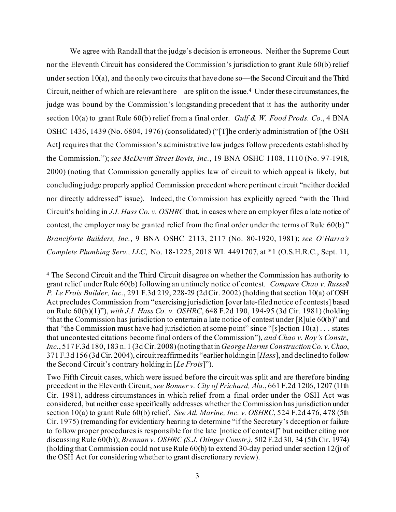We agree with Randall that the judge's decision is erroneous. Neither the Supreme Court nor the Eleventh Circuit has considered the Commission's jurisdiction to grant Rule 60(b) relief under section 10(a), and the only two circuits that have done so—the Second Circuit and the Third Circuit, neither of which are relevant here—are split on the issue.[4](#page-2-0) Under these circumstances, the judge was bound by the Commission's longstanding precedent that it has the authority under section 10(a) to grant Rule 60(b) relief from a final order. *Gulf & W. Food Prods. Co.*, 4 BNA OSHC 1436, 1439 (No. 6804, 1976) (consolidated) ("[T]he orderly administration of [the OSH Act] requires that the Commission's administrative law judges follow precedents established by the Commission."); *see McDevitt Street Bovis, Inc.*, 19 BNA OSHC 1108, 1110 (No. 97-1918, 2000) (noting that Commission generally applies law of circuit to which appeal is likely, but concluding judge properly applied Commission precedent where pertinent circuit "neither decided nor directly addressed" issue). Indeed, the Commission has explicitly agreed "with the Third Circuit's holding in *J.I. Hass Co. v. OSHRC* that, in cases where an employer files a late notice of contest, the employer may be granted relief from the final order under the terms of Rule 60(b)." *Branciforte Builders, Inc.*, 9 BNA OSHC 2113, 2117 (No. 80-1920, 1981); *see O'Harra's Complete Plumbing Serv., LLC*, No. 18-1225, 2018 WL 4491707, at \*1 (O.S.H.R.C., Sept. 11,

<span id="page-2-0"></span><sup>4</sup> The Second Circuit and the Third Circuit disagree on whether the Commission has authority to grant relief under Rule 60(b) following an untimely notice of contest. *Compare Chao v. Russell P. Le Frois Builder, Inc.*, 291 F.3d 219, 228-29 (2d Cir. 2002) (holding that section 10(a) of OSH Act precludes Commission from "exercising jurisdiction [over late-filed notice of contests] based on Rule 60(b)(1)"), *with J.I. Hass Co. v. OSHRC*, 648 F.2d 190, 194-95 (3d Cir. 1981) (holding "that the Commission has jurisdiction to entertain a late notice of contest under [R]ule 60(b)" and that "the Commission must have had jurisdiction at some point" since "[s]ection  $10(a) \ldots$  states that uncontested citations become final orders of the Commission"), *and Chao v. Roy's Constr., Inc.*, 517 F.3d 180, 183 n. 1 (3d Cir. 2008) (noting that in *George Harms Construction Co. v. Chao*, 371 F.3d 156 (3d Cir. 2004), circuit reaffirmed its "earlier holding in [*Hass*], and declined to follow the Second Circuit's contrary holding in [*Le Frois*]").

Two Fifth Circuit cases, which were issued before the circuit was split and are therefore binding precedent in the Eleventh Circuit, *see Bonner v. City of Prichard, Ala.*, 661 F.2d 1206, 1207 (11th Cir. 1981), address circumstances in which relief from a final order under the OSH Act was considered, but neither case specifically addresses whether the Commission has jurisdiction under section 10(a) to grant Rule 60(b) relief. *See Atl. Marine, Inc. v. OSHRC*, 524 F.2d 476, 478 (5th Cir. 1975) (remanding for evidentiary hearing to determine "if the Secretary's deception or failure to follow proper procedures is responsible for the late [notice of contest]" but neither citing nor discussing Rule 60(b)); *Brennan v. OSHRC (S.J. Otinger Constr.)*, 502 F.2d 30, 34 (5th Cir. 1974) (holding that Commission could not use Rule 60(b) to extend 30-day period under section 12(j) of the OSH Act for considering whether to grant discretionary review).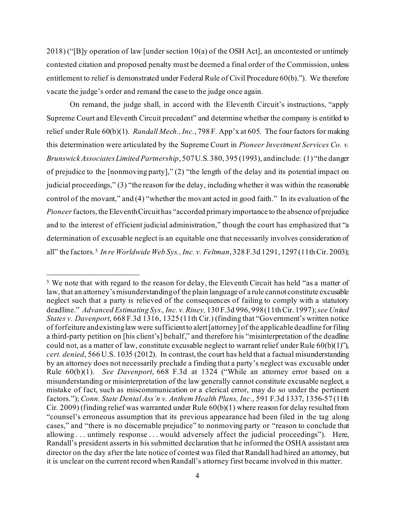2018) ("[B]y operation of law [under section  $10(a)$  of the OSH Act], an uncontested or untimely contested citation and proposed penalty must be deemed a final order of the Commission, unless entitlement to relief is demonstrated under Federal Rule of Civil Procedure 60(b)."). We therefore vacate the judge's order and remand the case to the judge once again.

On remand, the judge shall, in accord with the Eleventh Circuit's instructions, "apply Supreme Court and Eleventh Circuit precedent" and determine whether the company is entitled to relief under Rule 60(b)(1). *Randall Mech., Inc.*, 798 F. App'x at 605. The four factors for making this determination were articulated by the Supreme Court in *Pioneer Investment Services Co. v. Brunswick Associates Limited Partnership*, 507 U.S. 380, 395 (1993), and include: (1) "the danger of prejudice to the [nonmoving party]," (2) "the length of the delay and its potential impact on judicial proceedings," (3) "the reason for the delay, including whether it was within the reasonable control of the movant," and (4) "whether the movant acted in good faith." In its evaluation of the *Pioneer*factors, the Eleventh Circuit has "accorded primary importance to the absence of prejudice and to the interest of efficient judicial administration," though the court has emphasized that "a determination of excusable neglect is an equitable one that necessarily involves consideration of all" the factors.[5](#page-3-0) *In re Worldwide Web Sys., Inc. v. Feltman*, 328 F.3d 1291, 1297 (11th Cir. 2003);

<span id="page-3-0"></span><sup>5</sup> We note that with regard to the reason for delay, the Eleventh Circuit has held "as a matter of law, that an attorney's misunderstanding of the plain language of a rule cannot constitute excusable neglect such that a party is relieved of the consequences of failing to comply with a statutory deadline." *Advanced Estimating Sys., Inc. v. Riney,* 130 F.3d 996, 998 (11th Cir. 1997); *see United States v. Davenport*, 668 F.3d 1316, 1325 (11th Cir.) (finding that "Government's written notice of forfeiture and existing law were sufficient to alert [attorney] of the applicable deadline for filing a third-party petition on [his client's] behalf," and therefore his "misinterpretation of the deadline could not, as a matter of law, constitute excusable neglect to warrant relief under Rule 60(b)(1)"), *cert. denied*, 566 U.S. 1035 (2012). In contrast, the court has held that a factual misunderstanding by an attorney does not necessarily preclude a finding that a party's neglect was excusable under Rule 60(b)(1). *See Davenport*, 668 F.3d at 1324 ("While an attorney error based on a misunderstanding or misinterpretation of the law generally cannot constitute excusable neglect, a mistake of fact, such as miscommunication or a clerical error, may do so under the pertinent factors."); *Conn. State Dental Ass'n v. Anthem Health Plans, Inc*., 591 F.3d 1337, 1356-57 (11th Cir. 2009) (finding relief was warranted under Rule 60(b)(1) where reason for delay resulted from "counsel's erroneous assumption that its previous appearance had been filed in the tag along cases," and "there is no discernable prejudice" to nonmoving party or "reason to conclude that allowing . . . untimely response . . . would adversely affect the judicial proceedings"). Here, Randall's president asserts in his submitted declaration that he informed the OSHA assistant area director on the day after the late notice of contest was filed that Randall had hired an attorney, but it is unclear on the current record when Randall's attorney first became involved in this matter.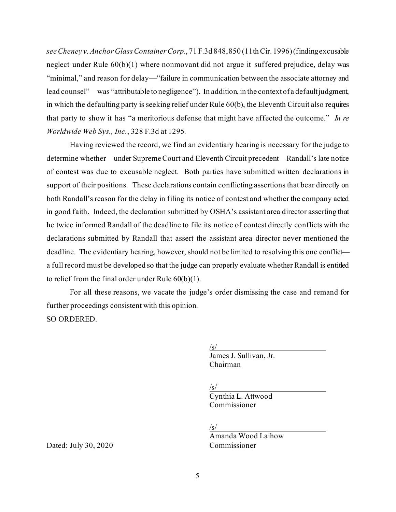*see Cheney v. Anchor Glass Container Corp.*, 71 F.3d 848, 850 (11th Cir. 1996) (finding excusable neglect under Rule 60(b)(1) where nonmovant did not argue it suffered prejudice, delay was "minimal," and reason for delay—"failure in communication between the associate attorney and lead counsel"—was "attributable to negligence"). In addition, in the context of a default judgment, in which the defaulting party is seeking relief under Rule 60(b), the Eleventh Circuit also requires that party to show it has "a meritorious defense that might have affected the outcome." *In re Worldwide Web Sys., Inc.*, 328 F.3d at 1295.

Having reviewed the record, we find an evidentiary hearing is necessary for the judge to determine whether—under Supreme Court and Eleventh Circuit precedent—Randall's late notice of contest was due to excusable neglect. Both parties have submitted written declarations in support of their positions. These declarations contain conflicting assertions that bear directly on both Randall's reason for the delay in filing its notice of contest and whether the company acted in good faith. Indeed, the declaration submitted by OSHA's assistant area director asserting that he twice informed Randall of the deadline to file its notice of contest directly conflicts with the declarations submitted by Randall that assert the assistant area director never mentioned the deadline. The evidentiary hearing, however, should not be limited to resolving this one conflict a full record must be developed so that the judge can properly evaluate whether Randall is entitled to relief from the final order under Rule  $60(b)(1)$ .

For all these reasons, we vacate the judge's order dismissing the case and remand for further proceedings consistent with this opinion. SO ORDERED.

> /s/ James J. Sullivan, Jr. Chairman

/s/

Cynthia L. Attwood Commissioner

/s/

Amanda Wood Laihow

Dated: July 30, 2020 Commissioner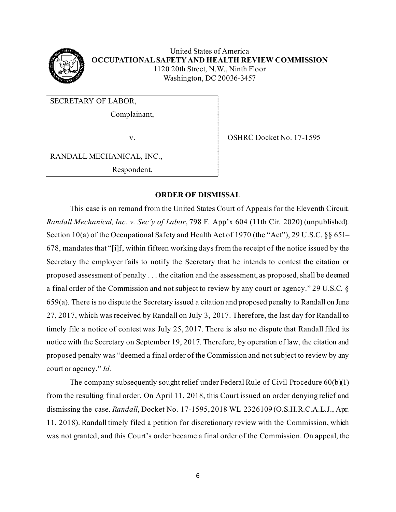

United States of America **OCCUPATIONAL SAFETY AND HEALTH REVIEW COMMISSION** 1120 20th Street, N.W., Ninth Floor Washington, DC 20036-3457

SECRETARY OF LABOR,

Complainant,

v. SHRC Docket No. 17-1595

RANDALL MECHANICAL, INC.,

Respondent.

## **ORDER OF DISMISSAL**

This case is on remand from the United States Court of Appeals for the Eleventh Circuit. *Randall Mechanical, Inc. v. Sec'y of Labor*, 798 F. App'x 604 (11th Cir. 2020) (unpublished). Section 10(a) of the Occupational Safety and Health Act of 1970 (the "Act"), 29 U.S.C. §§ 651– 678, mandates that "[i]f, within fifteen working days from the receipt of the notice issued by the Secretary the employer fails to notify the Secretary that he intends to contest the citation or proposed assessment of penalty . . . the citation and the assessment, as proposed, shall be deemed a final order of the Commission and not subject to review by any court or agency." 29 U.S.C. § 659(a). There is no dispute the Secretary issued a citation and proposed penalty to Randall on June 27, 2017, which was received by Randall on July 3, 2017. Therefore, the last day for Randall to timely file a notice of contest was July 25, 2017. There is also no dispute that Randall filed its notice with the Secretary on September 19, 2017. Therefore, by operation of law, the citation and proposed penalty was "deemed a final order of the Commission and not subject to review by any court or agency." *Id.*

The company subsequently sought relief under Federal Rule of Civil Procedure 60(b)(1) from the resulting final order. On April 11, 2018, this Court issued an order denying relief and dismissing the case. *Randall*, Docket No. 17-1595, 2018 WL 2326109 (O.S.H.R.C.A.L.J., Apr. 11, 2018). Randall timely filed a petition for discretionary review with the Commission, which was not granted, and this Court's order became a final order of the Commission. On appeal, the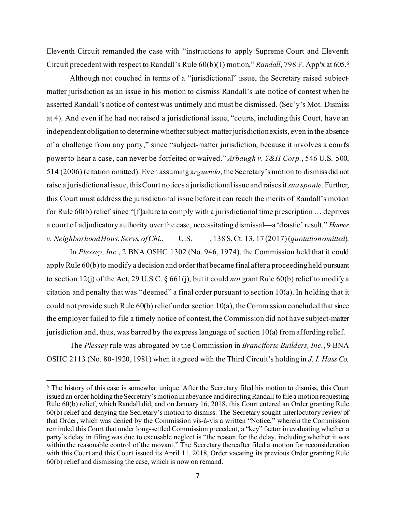Eleventh Circuit remanded the case with "instructions to apply Supreme Court and Eleventh Circuit precedent with respect to Randall's Rule 60(b)(1) motion." *Randall*, 798 F. App'x at 605.[6](#page-6-0)

 Although not couched in terms of a "jurisdictional" issue, the Secretary raised subjectmatter jurisdiction as an issue in his motion to dismiss Randall's late notice of contest when he asserted Randall's notice of contest was untimely and must be dismissed. (Sec'y's Mot. Dismiss at 4). And even if he had not raised a jurisdictional issue, "courts, including this Court, have an independent obligation to determine whether subject-matter jurisdiction exists, even in the absence of a challenge from any party," since "subject-matter jurisdiction, because it involves a court's power to hear a case, can never be forfeited or waived." *Arbaugh v. Y&H Corp.*, 546 U.S. 500, 514 (2006) (citation omitted). Even assuming a*rguendo*, the Secretary's motion to dismiss did not raise a jurisdictional issue, this Court notices a jurisdictional issue and raises it *sua sponte*. Further, this Court must address the jurisdictional issue before it can reach the merits of Randall's motion for Rule 60(b) relief since "[f]ailure to comply with a jurisdictional time prescription … deprives a court of adjudicatory authority over the case, necessitating dismissal—a 'drastic' result." *Hamer v. Neighborhood Hous. Servs. of Chi.*, ––– U.S. ––––, 138 S. Ct. 13, 17 (2017) (*quotation omitted*).

 In *Plessey, Inc.*, 2 BNA OSHC 1302 (No. 946, 1974), the Commission held that it could apply Rule 60(b) to modify a decision and order that became final after a proceeding held pursuant to section 12(j) of the Act, 29 U.S.C. § 661(j), but it could *not* grant Rule 60(b) relief to modify a citation and penalty that was "deemed" a final order pursuant to section  $10(a)$ . In holding that it could not provide such Rule  $60(b)$  relief under section  $10(a)$ , the Commission concluded that since the employer failed to file a timely notice of contest, the Commission did not have subject-matter jurisdiction and, thus, was barred by the express language of section  $10(a)$  from affording relief.

 The *Plessey* rule was abrogated by the Commission in *Branciforte Builders, Inc.*, 9 BNA OSHC 2113 (No. 80-1920, 1981) when it agreed with the Third Circuit's holding in *J. I. Hass Co.* 

<span id="page-6-0"></span><sup>6</sup> The history of this case is somewhat unique. After the Secretary filed his motion to dismiss, this Court issued an order holding the Secretary's motion in abeyance and directing Randall to file a motion requesting Rule 60(b) relief, which Randall did, and on January 16, 2018, this Court entered an Order granting Rule 60(b) relief and denying the Secretary's motion to dismiss. The Secretary sought interlocutory review of that Order, which was denied by the Commission vis-à-vis a written "Notice," wherein the Commission reminded this Court that under long-settled Commission precedent, a "key" factor in evaluating whether a party's delay in filing was due to excusable neglect is "the reason for the delay, including whether it was within the reasonable control of the movant." The Secretary thereafter filed a motion for reconsideration with this Court and this Court issued its April 11, 2018, Order vacating its previous Order granting Rule 60(b) relief and dismissing the case, which is now on remand.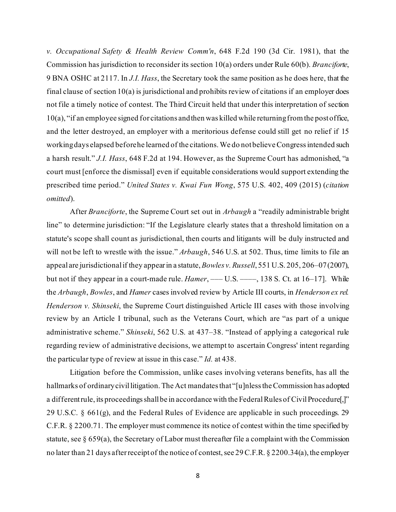*v. Occupational Safety & Health Review Comm'n*, 648 F.2d 190 (3d Cir. 1981), that the Commission has jurisdiction to reconsider its section 10(a) orders under Rule 60(b). *Branciforte*, 9 BNA OSHC at 2117. In *J.I. Hass*, the Secretary took the same position as he does here, that the final clause of section 10(a) is jurisdictional and prohibits review of citations if an employer does not file a timely notice of contest. The Third Circuit held that under this interpretation of section 10(a), "if an employee signed for citations and then was killed while returning from the post office, and the letter destroyed, an employer with a meritorious defense could still get no relief if 15 working days elapsed before he learned of the citations. We do not believe Congress intended such a harsh result." *J.I. Hass*, 648 F.2d at 194. However, as the Supreme Court has admonished, "a court must [enforce the dismissal] even if equitable considerations would support extending the prescribed time period." *United States v. Kwai Fun Wong*, 575 U.S. 402, 409 (2015) (*citation omitted*).

After *Branciforte*, the Supreme Court set out in *Arbaugh* a "readily administrable bright line" to determine jurisdiction: "If the Legislature clearly states that a threshold limitation on a statute's scope shall count as jurisdictional, then courts and litigants will be duly instructed and will not be left to wrestle with the issue." *Arbaugh*, 546 U.S. at 502. Thus, time limits to file an appeal are jurisdictional if they appear in a statute, *Bowles v. Russell*, 551 U.S. 205, 206–07(2007), but not if they appear in a court-made rule. *Hamer*, —— U.S. ———, 138 S. Ct. at 16–17]. While the *Arbaugh*, *Bowles*, and *Hamer* cases involved review by Article III courts, in *Henderson ex rel. Henderson v. Shinseki*, the Supreme Court distinguished Article III cases with those involving review by an Article I tribunal, such as the Veterans Court, which are "as part of a unique administrative scheme." *Shinseki*, 562 U.S. at 437–38. "Instead of applying a categorical rule regarding review of administrative decisions, we attempt to ascertain Congress' intent regarding the particular type of review at issue in this case." *Id.* at 438.

Litigation before the Commission, unlike cases involving veterans benefits, has all the hallmarks of ordinary civil litigation. The Act mandates that "[u]nless the Commission has adopted a different rule, its proceedings shall be in accordance with the Federal Rules of Civil Procedure[,]" 29 U.S.C. § 661(g), and the Federal Rules of Evidence are applicable in such proceedings. 29 C.F.R. § 2200.71. The employer must commence its notice of contest within the time specified by statute, see § 659(a), the Secretary of Labor must thereafter file a complaint with the Commission no later than 21 days after receipt of the notice of contest, see 29 C.F.R. § 2200.34(a), the employer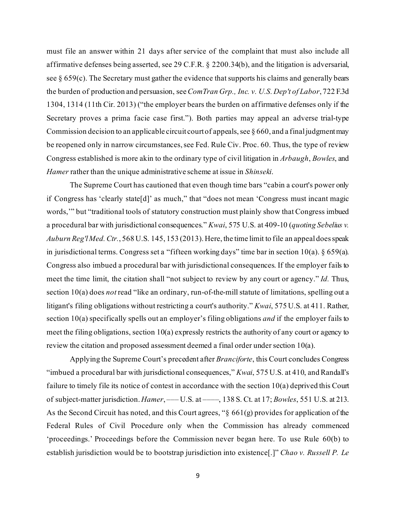must file an answer within 21 days after service of the complaint that must also include all affirmative defenses being asserted, see 29 C.F.R. § 2200.34(b), and the litigation is adversarial, see  $\S 659(c)$ . The Secretary must gather the evidence that supports his claims and generally bears the burden of production and persuasion, see *ComTran Grp., Inc. v. U.S. Dep't of Labor*, 722 F.3d 1304, 1314 (11th Cir. 2013) ("the employer bears the burden on affirmative defenses only if the Secretary proves a prima facie case first."). Both parties may appeal an adverse trial-type Commission decision to an applicable circuit court of appeals, see § 660, and a final judgment may be reopened only in narrow circumstances, see Fed. Rule Civ. Proc. 60. Thus, the type of review Congress established is more akin to the ordinary type of civil litigation in *Arbaugh*, *Bowles*, and *Hamer* rather than the unique administrative scheme at issue in *Shinseki*.

 The Supreme Court has cautioned that even though time bars "cabin a court's power only if Congress has 'clearly state[d]' as much," that "does not mean 'Congress must incant magic words,'" but "traditional tools of statutory construction must plainly show that Congress imbued a procedural bar with jurisdictional consequences." *Kwai*, 575 U.S. at 409-10 (*quoting Sebelius v. Auburn Reg'l Med. Ctr.*, 568 U.S. 145, 153 (2013). Here, the time limit to file an appeal does speak in jurisdictional terms. Congress set a "fifteen working days" time bar in section 10(a). § 659(a). Congress also imbued a procedural bar with jurisdictional consequences. If the employer fails to meet the time limit, the citation shall "not subject to review by any court or agency." *Id.* Thus, section 10(a) does *not* read "like an ordinary, run-of-the-mill statute of limitations, spelling out a litigant's filing obligations without restricting a court's authority." *Kwai*, 575 U.S. at 411. Rather, section 10(a) specifically spells out an employer's filing obligations *and* if the employer fails to meet the filing obligations, section 10(a) expressly restricts the authority of any court or agency to review the citation and proposed assessment deemed a final order under section 10(a).

Applying the Supreme Court's precedent after *Branciforte*, this Court concludes Congress "imbued a procedural bar with jurisdictional consequences," *Kwai*, 575 U.S. at 410, and Randall's failure to timely file its notice of contest in accordance with the section 10(a) deprived this Court of subject-matter jurisdiction. *Hamer*, ––– U.S. at ––––, 138 S. Ct. at 17; *Bowles*, 551 U.S. at 213. As the Second Circuit has noted, and this Court agrees, "§ 661(g) provides for application of the Federal Rules of Civil Procedure only when the Commission has already commenced 'proceedings.' Proceedings before the Commission never began here. To use Rule 60(b) to establish jurisdiction would be to bootstrap jurisdiction into existence[.]" *Chao v. Russell P. Le*